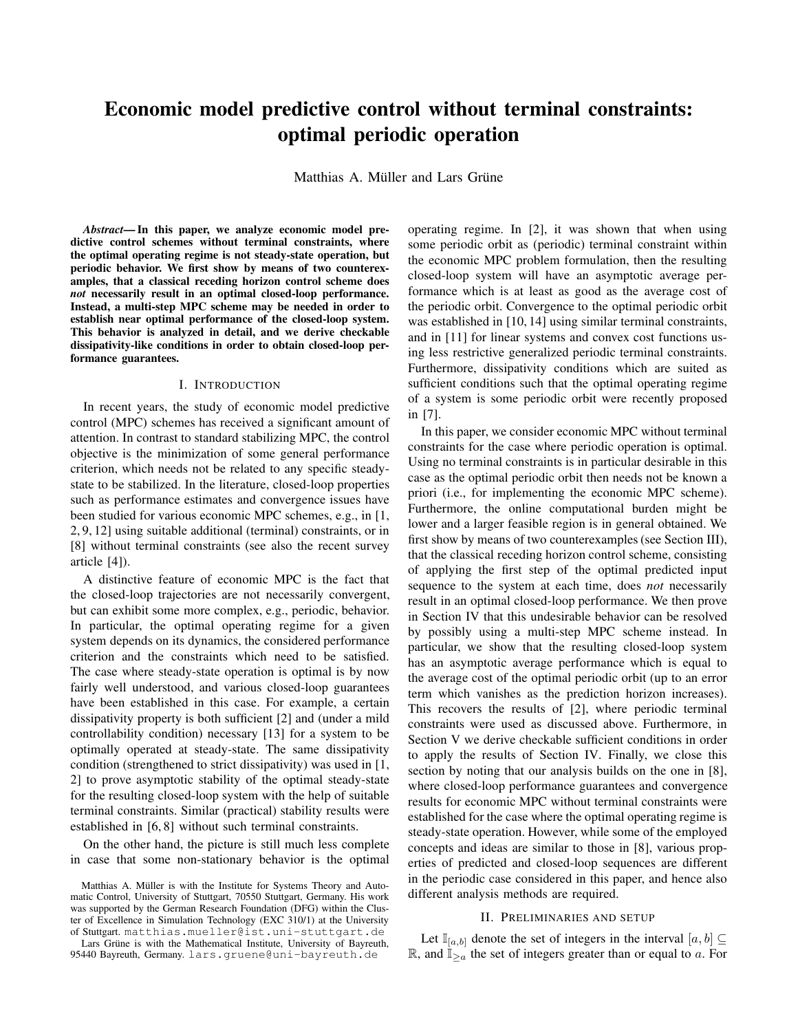# Economic model predictive control without terminal constraints: optimal periodic operation

Matthias A. Müller and Lars Grüne

*Abstract*— In this paper, we analyze economic model predictive control schemes without terminal constraints, where the optimal operating regime is not steady-state operation, but periodic behavior. We first show by means of two counterexamples, that a classical receding horizon control scheme does *not* necessarily result in an optimal closed-loop performance. Instead, a multi-step MPC scheme may be needed in order to establish near optimal performance of the closed-loop system. This behavior is analyzed in detail, and we derive checkable dissipativity-like conditions in order to obtain closed-loop performance guarantees.

# I. INTRODUCTION

In recent years, the study of economic model predictive control (MPC) schemes has received a significant amount of attention. In contrast to standard stabilizing MPC, the control objective is the minimization of some general performance criterion, which needs not be related to any specific steadystate to be stabilized. In the literature, closed-loop properties such as performance estimates and convergence issues have been studied for various economic MPC schemes, e.g., in [1, 2, 9, 12] using suitable additional (terminal) constraints, or in [8] without terminal constraints (see also the recent survey article [4]).

A distinctive feature of economic MPC is the fact that the closed-loop trajectories are not necessarily convergent, but can exhibit some more complex, e.g., periodic, behavior. In particular, the optimal operating regime for a given system depends on its dynamics, the considered performance criterion and the constraints which need to be satisfied. The case where steady-state operation is optimal is by now fairly well understood, and various closed-loop guarantees have been established in this case. For example, a certain dissipativity property is both sufficient [2] and (under a mild controllability condition) necessary [13] for a system to be optimally operated at steady-state. The same dissipativity condition (strengthened to strict dissipativity) was used in [1, 2] to prove asymptotic stability of the optimal steady-state for the resulting closed-loop system with the help of suitable terminal constraints. Similar (practical) stability results were established in [6, 8] without such terminal constraints.

On the other hand, the picture is still much less complete in case that some non-stationary behavior is the optimal

Lars Grüne is with the Mathematical Institute, University of Bayreuth, 95440 Bayreuth, Germany. lars.gruene@uni-bayreuth.de

operating regime. In [2], it was shown that when using some periodic orbit as (periodic) terminal constraint within the economic MPC problem formulation, then the resulting closed-loop system will have an asymptotic average performance which is at least as good as the average cost of the periodic orbit. Convergence to the optimal periodic orbit was established in [10, 14] using similar terminal constraints, and in [11] for linear systems and convex cost functions using less restrictive generalized periodic terminal constraints. Furthermore, dissipativity conditions which are suited as sufficient conditions such that the optimal operating regime of a system is some periodic orbit were recently proposed in [7].

In this paper, we consider economic MPC without terminal constraints for the case where periodic operation is optimal. Using no terminal constraints is in particular desirable in this case as the optimal periodic orbit then needs not be known a priori (i.e., for implementing the economic MPC scheme). Furthermore, the online computational burden might be lower and a larger feasible region is in general obtained. We first show by means of two counterexamples (see Section III), that the classical receding horizon control scheme, consisting of applying the first step of the optimal predicted input sequence to the system at each time, does *not* necessarily result in an optimal closed-loop performance. We then prove in Section IV that this undesirable behavior can be resolved by possibly using a multi-step MPC scheme instead. In particular, we show that the resulting closed-loop system has an asymptotic average performance which is equal to the average cost of the optimal periodic orbit (up to an error term which vanishes as the prediction horizon increases). This recovers the results of [2], where periodic terminal constraints were used as discussed above. Furthermore, in Section V we derive checkable sufficient conditions in order to apply the results of Section IV. Finally, we close this section by noting that our analysis builds on the one in [8], where closed-loop performance guarantees and convergence results for economic MPC without terminal constraints were established for the case where the optimal operating regime is steady-state operation. However, while some of the employed concepts and ideas are similar to those in [8], various properties of predicted and closed-loop sequences are different in the periodic case considered in this paper, and hence also different analysis methods are required.

# II. PRELIMINARIES AND SETUP

Let  $\mathbb{I}_{[a,b]}$  denote the set of integers in the interval  $[a,b] \subseteq$ R, and  $\mathbb{I}_{\geq a}$  the set of integers greater than or equal to a. For

Matthias A. Müller is with the Institute for Systems Theory and Automatic Control, University of Stuttgart, 70550 Stuttgart, Germany. His work was supported by the German Research Foundation (DFG) within the Cluster of Excellence in Simulation Technology (EXC 310/1) at the University of Stuttgart. matthias.mueller@ist.uni-stuttgart.de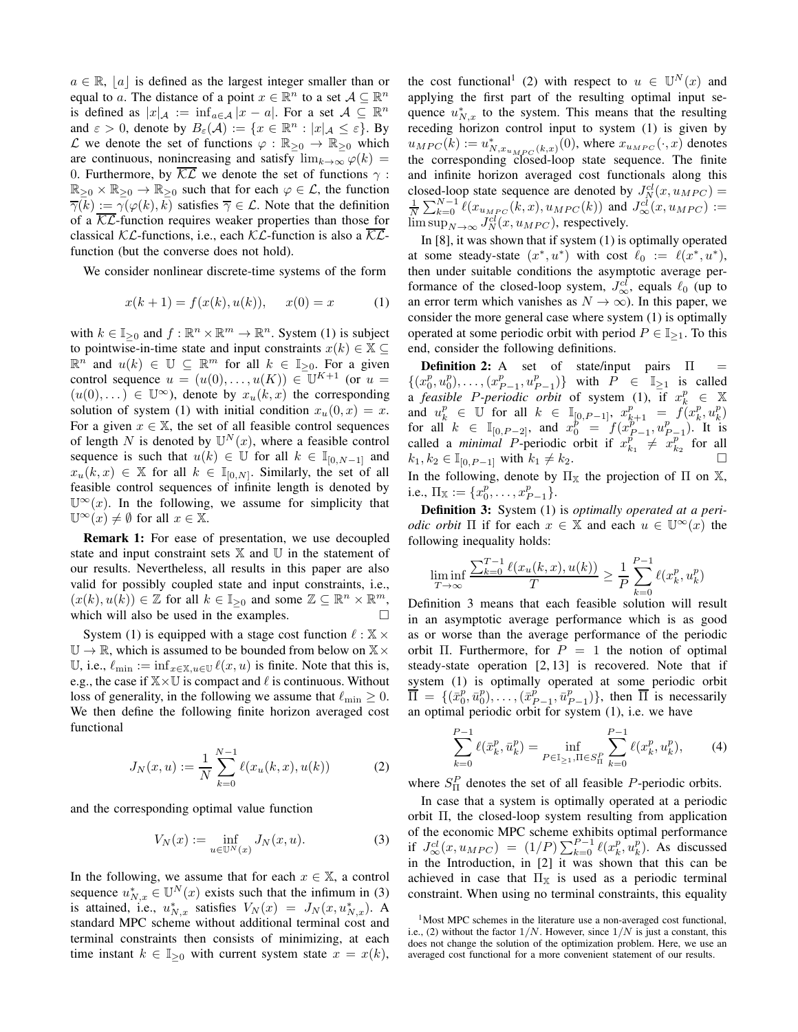$a \in \mathbb{R}$ , |a| is defined as the largest integer smaller than or equal to a. The distance of a point  $x \in \mathbb{R}^n$  to a set  $\mathcal{A} \subseteq \mathbb{R}^n$ is defined as  $|x|_{\mathcal{A}} := \inf_{a \in \mathcal{A}} |x - a|$ . For a set  $\mathcal{A} \subseteq \mathbb{R}^n$ and  $\varepsilon > 0$ , denote by  $B_{\varepsilon}(\mathcal{A}) := \{x \in \mathbb{R}^n : |x|_{\mathcal{A}} \leq \varepsilon\}$ . By L we denote the set of functions  $\varphi : \mathbb{R}_{\geq 0} \to \mathbb{R}_{\geq 0}$  which are continuous, nonincreasing and satisfy  $\lim_{k\to\infty} \varphi(k) =$ 0. Furthermore, by  $\overline{\mathcal{KL}}$  we denote the set of functions  $\gamma$ :  $\mathbb{R}_{\geq 0} \times \mathbb{R}_{\geq 0} \to \mathbb{R}_{\geq 0}$  such that for each  $\varphi \in \mathcal{L}$ , the function  $\overline{\gamma}(k) := \gamma(\varphi(k), k)$  satisfies  $\overline{\gamma} \in \mathcal{L}$ . Note that the definition of a  $\overline{\mathcal{KL}}$ -function requires weaker properties than those for classical  $KL$ -functions, i.e., each  $KL$ -function is also a  $KL$ function (but the converse does not hold).

We consider nonlinear discrete-time systems of the form

$$
x(k+1) = f(x(k), u(k)), \quad x(0) = x \tag{1}
$$

with  $k \in \mathbb{I}_{\geq 0}$  and  $f : \mathbb{R}^n \times \mathbb{R}^m \to \mathbb{R}^n$ . System (1) is subject to pointwise-in-time state and input constraints  $x(k) \in \mathbb{X} \subseteq$  $\mathbb{R}^n$  and  $u(k) \in \mathbb{U} \subseteq \mathbb{R}^m$  for all  $k \in \mathbb{I}_{\geq 0}$ . For a given control sequence  $u = (u(0), \ldots, u(K)) \in \mathbb{U}^{K+1}$  (or  $u =$  $(u(0),...) \in \mathbb{U}^{\infty}$ , denote by  $x_u(k,x)$  the corresponding solution of system (1) with initial condition  $x_u(0, x) = x$ . For a given  $x \in \mathbb{X}$ , the set of all feasible control sequences of length N is denoted by  $\mathbb{U}^N(x)$ , where a feasible control sequence is such that  $u(k) \in \mathbb{U}$  for all  $k \in \mathbb{I}_{[0,N-1]}$  and  $x_u(k, x) \in \mathbb{X}$  for all  $k \in \mathbb{I}_{[0,N]}$ . Similarly, the set of all feasible control sequences of infinite length is denoted by  $\mathbb{U}^{\infty}(x)$ . In the following, we assume for simplicity that  $\mathbb{U}^{\infty}(x) \neq \emptyset$  for all  $x \in \mathbb{X}$ .

Remark 1: For ease of presentation, we use decoupled state and input constraint sets  $X$  and  $U$  in the statement of our results. Nevertheless, all results in this paper are also valid for possibly coupled state and input constraints, i.e.,  $(x(k), u(k)) \in \mathbb{Z}$  for all  $k \in \mathbb{I}_{\geq 0}$  and some  $\mathbb{Z} \subseteq \mathbb{R}^n \times \mathbb{R}^m$ , which will also be used in the examples.

System (1) is equipped with a stage cost function  $\ell : \mathbb{X} \times$  $\mathbb{U} \to \mathbb{R}$ , which is assumed to be bounded from below on  $\mathbb{X} \times$ U, i.e.,  $\ell_{\min} := \inf_{x \in \mathbb{X}, u \in \mathbb{U}} \ell(x, u)$  is finite. Note that this is, e.g., the case if  $X \times U$  is compact and  $\ell$  is continuous. Without loss of generality, in the following we assume that  $\ell_{\min} \geq 0$ . We then define the following finite horizon averaged cost functional

$$
J_N(x, u) := \frac{1}{N} \sum_{k=0}^{N-1} \ell(x_u(k, x), u(k))
$$
 (2)

and the corresponding optimal value function

$$
V_N(x) := \inf_{u \in \mathbb{U}^N(x)} J_N(x, u).
$$
 (3)

In the following, we assume that for each  $x \in \mathbb{X}$ , a control sequence  $u_{N,x}^* \in \mathbb{U}^N(x)$  exists such that the infimum in (3) is attained, i.e.,  $u_{N,x}^*$  satisfies  $V_N(x) = J_N(x, u_{N,x}^*)$ . A standard MPC scheme without additional terminal cost and terminal constraints then consists of minimizing, at each time instant  $k \in \mathbb{I}_{\geq 0}$  with current system state  $x = x(k)$ ,

the cost functional<sup>1</sup> (2) with respect to  $u \in \mathbb{U}^N(x)$  and applying the first part of the resulting optimal input sequence  $u_{N,x}^*$  to the system. This means that the resulting receding horizon control input to system (1) is given by  $u_{MPC}(k) := u^*_{N,x_{u_{MPC}}(k,x)}(0)$ , where  $x_{u_{MPC}}(\cdot, x)$  denotes the corresponding closed-loop state sequence. The finite and infinite horizon averaged cost functionals along this closed-loop state sequence are denoted by  $J_N^{cl}(x, u_{MPC}) =$  $\frac{1}{N}\sum_{k=0}^{N-1} \ell(x_{u_{MPC}}(k, x), u_{MPC}(k))$  and  $J_{\infty}^{cl}(x, u_{MPC})$  :=  $\limsup_{N\to\infty} J_N^{cl}(x, u_{MPC})$ , respectively.

In [8], it was shown that if system (1) is optimally operated at some steady-state  $(x^*, u^*)$  with cost  $\ell_0 := \ell(x^*, u^*),$ then under suitable conditions the asymptotic average performance of the closed-loop system,  $J^{cl}_{\infty}$ , equals  $\ell_0$  (up to an error term which vanishes as  $N \to \infty$ ). In this paper, we consider the more general case where system (1) is optimally operated at some periodic orbit with period  $P \in \mathbb{I}_{\geq 1}$ . To this end, consider the following definitions.

Definition 2: A set of state/input pairs Π  $\{(x_0^p, u_0^p), \ldots, (x_{P-1}^p, u_{P-1}^p)\}\$  with  $\hat{P} \in \mathbb{T}_{\geq 1}$  is called a *feasible P-periodic orbit* of system (1), if  $x_k^p \in \mathbb{X}$ and  $u_k^p \in U$  for all  $k \in \mathbb{I}_{[0, P-1]}, x_{k+1}^p = f(x_k^p, u_k^p)$ for all  $k \in \mathbb{I}_{[0,P-2]}$ , and  $x_0^{p^{n-1}} = f(x_{P-1}^{p^{n-1}}, u_{P-1}^{p^{n}})$ . It is called a *minimal P*-periodic orbit if  $x_{k_1}^p \neq x_{k_2}^p$  for all  $k_1, k_2 \in \mathbb{I}_{[0, P-1]}$  with  $k_1 \neq k_2$ . In the following, denote by  $\Pi_{\mathbb{X}}$  the projection of  $\Pi$  on  $\mathbb{X}$ , i.e.,  $\Pi_{\mathbb{X}} := \{x_0^p, \ldots, x_{P-1}^p\}.$ 

Definition 3: System (1) is *optimally operated at a periodic orbit*  $\Pi$  if for each  $x \in \mathbb{X}$  and each  $u \in \mathbb{U}^{\infty}(x)$  the following inequality holds:

$$
\liminf_{T \to \infty} \frac{\sum_{k=0}^{T-1} \ell(x_u(k, x), u(k))}{T} \ge \frac{1}{P} \sum_{k=0}^{P-1} \ell(x_k^p, u_k^p)
$$

Definition 3 means that each feasible solution will result in an asymptotic average performance which is as good as or worse than the average performance of the periodic orbit Π. Furthermore, for  $P = 1$  the notion of optimal steady-state operation [2, 13] is recovered. Note that if system (1) is optimally operated at some periodic orbit  $\overline{\Pi} = \{(\overline{x}_0^p, \overline{u}_0^p), \dots, (\overline{x}_{P-1}^p, \overline{u}_{P-1}^p)\},\$  then  $\overline{\Pi}$  is necessarily an optimal periodic orbit for system (1), i.e. we have

$$
\sum_{k=0}^{P-1} \ell(\bar{x}_k^p, \bar{u}_k^p) = \inf_{P \in \mathbb{I}_{\ge 1}, \Pi \in S_{\Pi}^P} \sum_{k=0}^{P-1} \ell(x_k^p, u_k^p),\tag{4}
$$

where  $S_{\Pi}^{P}$  denotes the set of all feasible *P*-periodic orbits.

In case that a system is optimally operated at a periodic orbit Π, the closed-loop system resulting from application of the economic MPC scheme exhibits optimal performance if  $J^{\text{cl}}_{\infty}(x, u_{MPC}) = (1/P) \sum_{k=0}^{P-1} \ell(x_k^p, u_k^p)$ . As discussed in the Introduction, in [2] it was shown that this can be achieved in case that  $\Pi_{\mathbb{X}}$  is used as a periodic terminal constraint. When using no terminal constraints, this equality

 $1$ Most MPC schemes in the literature use a non-averaged cost functional, i.e., (2) without the factor  $1/N$ . However, since  $1/N$  is just a constant, this does not change the solution of the optimization problem. Here, we use an averaged cost functional for a more convenient statement of our results.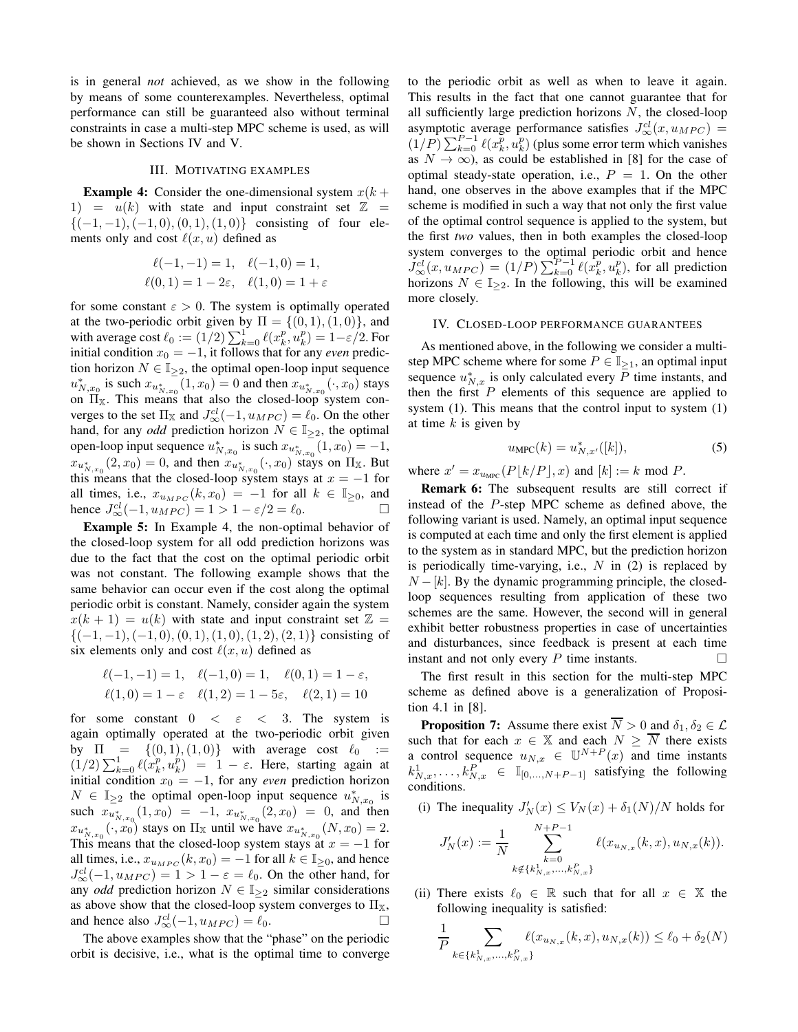is in general *not* achieved, as we show in the following by means of some counterexamples. Nevertheless, optimal performance can still be guaranteed also without terminal constraints in case a multi-step MPC scheme is used, as will be shown in Sections IV and V.

# III. MOTIVATING EXAMPLES

**Example 4:** Consider the one-dimensional system  $x(k +$ 1) =  $u(k)$  with state and input constraint set  $\mathbb{Z}$  =  ${(-1, -1), (-1, 0), (0, 1), (1, 0)}$  consisting of four elements only and cost  $\ell(x, u)$  defined as

$$
\ell(-1, -1) = 1, \quad \ell(-1, 0) = 1, \n\ell(0, 1) = 1 - 2\varepsilon, \quad \ell(1, 0) = 1 + \varepsilon
$$

for some constant  $\varepsilon > 0$ . The system is optimally operated at the two-periodic orbit given by  $\Pi = \{(0, 1), (1, 0)\}\$ , and with average cost  $\ell_0 := (1/2) \sum_{k=0}^1 \ell(x_k^p, u_k^p) = 1 - \varepsilon/2$ . For initial condition  $x_0 = -1$ , it follows that for any *even* prediction horizon  $N \in \mathbb{I}_{\geq 2}$ , the optimal open-loop input sequence  $u^*_{N,x_0}$  is such  $x_{u^*_{N,x_0}}(1,x_0) = 0$  and then  $x_{u^*_{N,x_0}}(\cdot, x_0)$  stays on  $\Pi_{\mathbb{X}}$ . This means that also the closed-loop system converges to the set  $\Pi_{\mathbb{X}}$  and  $J_{\infty}^{cl}(-1, u_{MPC}) = \ell_0$ . On the other hand, for any *odd* prediction horizon  $N \in \mathbb{I}_{\geq 2}$ , the optimal open-loop input sequence  $u_{N,x_0}^*$  is such  $x_{u_{N,x_0}^*}(1, x_0) = -1$ ,  $x_{u_{N,x_0}^*}(2, x_0) = 0$ , and then  $x_{u_{N,x_0}^*}(\cdot, x_0)$  stays on  $\Pi_{X}$ . But this means that the closed-loop system stays at  $x = -1$  for all times, i.e.,  $x_{u_{MPC}}(k, x_0) = -1$  for all  $k \in \mathbb{I}_{\geq 0}$ , and hence  $J_{\infty}^{cl}(-1, u_{MPC}) = 1 > 1 - \varepsilon/2 = \ell_0$ .

Example 5: In Example 4, the non-optimal behavior of the closed-loop system for all odd prediction horizons was due to the fact that the cost on the optimal periodic orbit was not constant. The following example shows that the same behavior can occur even if the cost along the optimal periodic orbit is constant. Namely, consider again the system  $x(k + 1) = u(k)$  with state and input constraint set  $\mathbb{Z} =$  $\{(-1,-1),(-1,0),(0,1),(1,0),(1,2),(2,1)\}\)$  consisting of six elements only and cost  $\ell(x, u)$  defined as

$$
\ell(-1, -1) = 1, \quad \ell(-1, 0) = 1, \quad \ell(0, 1) = 1 - \varepsilon,
$$
  

$$
\ell(1, 0) = 1 - \varepsilon \quad \ell(1, 2) = 1 - 5\varepsilon, \quad \ell(2, 1) = 10
$$

for some constant  $0 \lt \epsilon \lt 3$ . The system is again optimally operated at the two-periodic orbit given by  $\Pi = \{(0, 1), (1, 0)\}$  with average cost  $\ell_0 :=$  $(1/2)\sum_{k=0}^{1} \ell(x_k^p, u_k^p) = 1 - \varepsilon$ . Here, starting again at initial condition  $x_0 = -1$ , for any *even* prediction horizon  $N \in \mathbb{I}_{\geq 2}$  the optimal open-loop input sequence  $u_{N,x_0}^*$  is such  $x_{u_{N, x_0}^*}(1, x_0) = -1$ ,  $x_{u_{N, x_0}^*}(2, x_0) = 0$ , and then  $x_{u_{N,x_0}^*}(\cdot, x_0)$  stays on  $\Pi_{\mathbb{X}}$  until we have  $x_{u_{N,x_0}^*}(N, x_0) = 2$ . This means that the closed-loop system stays at  $x = -1$  for all times, i.e.,  $x_{u_{MPC}}(k, x_0) = -1$  for all  $k \in \mathbb{I}_{\geq 0}$ , and hence  $J_\infty^{cl}(-1, u_{MPC}) = 1 > 1 - \varepsilon = \ell_0$ . On the other hand, for any *odd* prediction horizon  $N \in \mathbb{I}_{\geq 2}$  similar considerations as above show that the closed-loop system converges to  $\Pi_{\mathbb{X}},$ and hence also  $J_{\infty}^{cl}(-1, u_{MPC}) = \ell_0$ .

The above examples show that the "phase" on the periodic orbit is decisive, i.e., what is the optimal time to converge to the periodic orbit as well as when to leave it again. This results in the fact that one cannot guarantee that for all sufficiently large prediction horizons  $N$ , the closed-loop asymptotic average performance satisfies  $J^{cl}_{\infty}(x, u_{MPC}) =$  $(1/P) \sum_{k=0}^{P-1} \ell(x_k^p, u_k^p)$  (plus some error term which vanishes as  $N \to \infty$ , as could be established in [8] for the case of optimal steady-state operation, i.e.,  $P = 1$ . On the other hand, one observes in the above examples that if the MPC scheme is modified in such a way that not only the first value of the optimal control sequence is applied to the system, but the first *two* values, then in both examples the closed-loop system converges to the optimal periodic orbit and hence  $J_\infty^{cl}(x, u_{MPC}) = (1/P) \sum_{k=0}^{P-1} \ell(x_k^p, u_k^p)$ , for all prediction horizons  $N \in \mathbb{I}_{\geq 2}$ . In the following, this will be examined more closely.

## IV. CLOSED-LOOP PERFORMANCE GUARANTEES

As mentioned above, in the following we consider a multistep MPC scheme where for some  $P \in \mathbb{I}_{\geq 1}$ , an optimal input sequence  $u_{N,x}^*$  is only calculated every  $\overline{P}$  time instants, and then the first  $P$  elements of this sequence are applied to system (1). This means that the control input to system (1) at time  $k$  is given by

$$
u_{\rm MPC}(k) = u_{N,x'}^{*}([k]),\tag{5}
$$

where  $x' = x_{u \text{MPC}}(P[k/P], x)$  and  $[k] := k \text{ mod } P$ .

Remark 6: The subsequent results are still correct if instead of the P-step MPC scheme as defined above, the following variant is used. Namely, an optimal input sequence is computed at each time and only the first element is applied to the system as in standard MPC, but the prediction horizon is periodically time-varying, i.e.,  $N$  in (2) is replaced by  $N - [k]$ . By the dynamic programming principle, the closedloop sequences resulting from application of these two schemes are the same. However, the second will in general exhibit better robustness properties in case of uncertainties and disturbances, since feedback is present at each time instant and not only every  $P$  time instants.  $\Box$ 

The first result in this section for the multi-step MPC scheme as defined above is a generalization of Proposition 4.1 in [8].

**Proposition 7:** Assume there exist  $\overline{N} > 0$  and  $\delta_1, \delta_2 \in \mathcal{L}$ such that for each  $x \in \mathbb{X}$  and each  $N \geq \overline{N}$  there exists a control sequence  $u_{N,x} \in \mathbb{U}^{N+P}(x)$  and time instants  $k_{N,x}^1, \ldots, k_{N,x}^P \in \mathbb{I}_{[0,\ldots,N+P-1]}$  satisfying the following conditions.

(i) The inequality  $J'_N(x) \le V_N(x) + \delta_1(N)/N$  holds for

$$
J'_{N}(x) := \frac{1}{N} \sum_{\substack{k=0 \ k \notin \{k_{N,x}^1, \dots, k_{N,x}^P\}}}^{N+P-1} \ell(x_{u_{N,x}}(k,x), u_{N,x}(k)).
$$

(ii) There exists  $\ell_0 \in \mathbb{R}$  such that for all  $x \in \mathbb{X}$  the following inequality is satisfied:

$$
\frac{1}{P} \sum_{k \in \{k_{N,x}^1, \ldots, k_{N,x}^P\}} \ell(x_{u_{N,x}}(k, x), u_{N,x}(k)) \le \ell_0 + \delta_2(N)
$$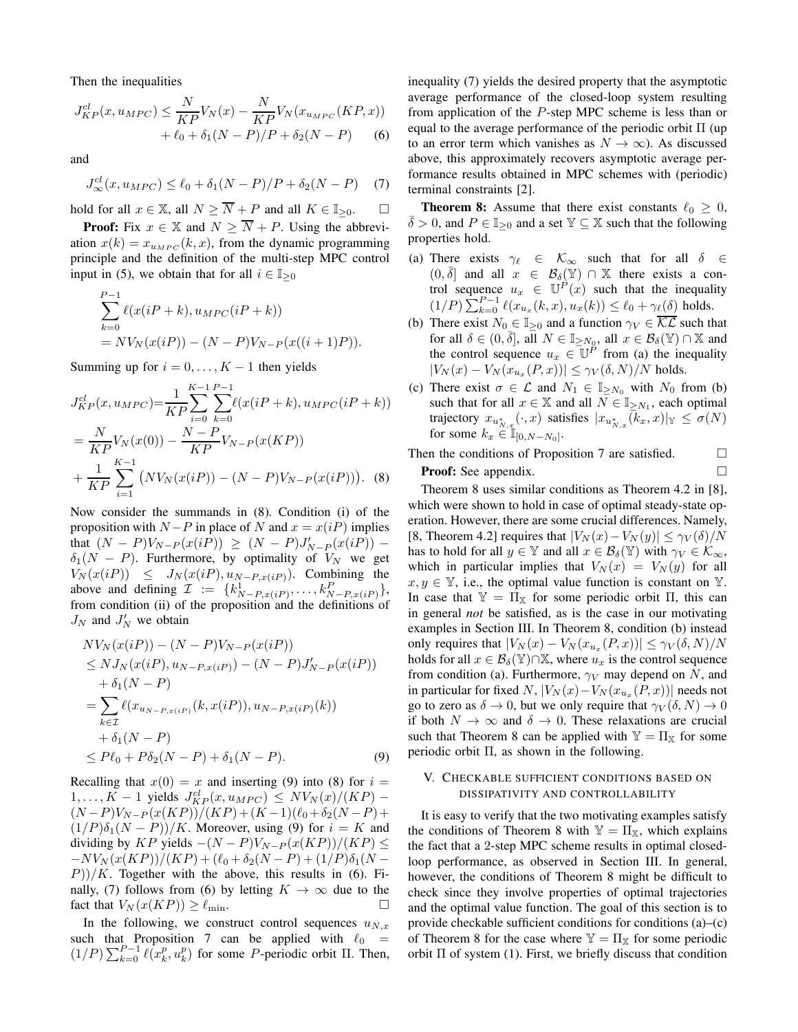Then the inequalities

$$
J_{KP}^{cl}(x, u_{MPC}) \leq \frac{N}{KP}V_N(x) - \frac{N}{KP}V_N(x_{u_{MPC}}(KP, x)) + \ell_0 + \delta_1(N - P)/P + \delta_2(N - P) \tag{6}
$$

and

$$
J^{cl}_{\infty}(x, u_{MPC}) \le \ell_0 + \delta_1(N - P)/P + \delta_2(N - P) \quad (7)
$$

hold for all  $x \in \mathbb{X}$ , all  $N \geq \overline{N} + P$  and all  $K \in \mathbb{I}_{\geq 0}$ .  $\Box$ 

**Proof:** Fix  $x \in \mathbb{X}$  and  $N \geq \overline{N} + P$ . Using the abbreviation  $x(k) = x_{u_{MPC}}(k, x)$ , from the dynamic programming principle and the definition of the multi-step MPC control input in (5), we obtain that for all  $i \in \mathbb{I}_{\geq 0}$ 

$$
\sum_{k=0}^{P-1} \ell(x(iP+k), u_{MPC}(iP+k))
$$
  
=  $N V_N(x(iP)) - (N - P)V_{N-P}(x((i+1)P)).$ 

Summing up for  $i = 0, \ldots, K - 1$  then yields

$$
J_{KP}^{cl}(x, u_{MPC}) = \frac{1}{KP} \sum_{i=0}^{K-1} \sum_{k=0}^{P-1} \ell(x(iP+k), u_{MPC}(iP+k))
$$
  
= 
$$
\frac{N}{KP} V_N(x(0)) - \frac{N-P}{KP} V_{N-P}(x(KP))
$$
  
+ 
$$
\frac{1}{KP} \sum_{i=1}^{K-1} (NV_N(x(iP)) - (N-P)V_{N-P}(x(iP))).
$$
 (8)

Now consider the summands in (8). Condition (i) of the proposition with  $N-P$  in place of N and  $x = x(iP)$  implies that  $(N - P)V_{N-P}(x(iP)) \ge (N - P)J'_{N-P}(x(iP))$  –  $\delta_1(N - P)$ . Furthermore, by optimality of  $V_N$  we get  $V_N(x(iP)) \leq J_N(x(iP), u_{N-P,x(iP)})$ . Combining the above and defining  $\mathcal{I} := \{k_{N-P,x(iP)}^1, \ldots, k_{N-P,x(iP)}^P\},\$ from condition (ii) of the proposition and the definitions of  $J_N$  and  $J'_N$  we obtain

$$
NV_N(x(iP)) - (N - P)V_{N-P}(x(iP))
$$
  
\n
$$
\leq NJ_N(x(iP), u_{N-P,x(iP)}) - (N - P)J'_{N-P}(x(iP))
$$
  
\n
$$
+ \delta_1(N - P)
$$
  
\n
$$
= \sum_{k \in \mathcal{I}} \ell(x_{u_{N-P,x(iP)}}(k, x(iP)), u_{N-P,x(iP)}(k))
$$
  
\n
$$
+ \delta_1(N - P)
$$
  
\n
$$
\leq P\ell_0 + P\delta_2(N - P) + \delta_1(N - P).
$$
 (9)

Recalling that  $x(0) = x$  and inserting (9) into (8) for  $i =$  $1, \ldots, K-1$  yields  $J_{KP}^{cl}(x, u_{MPC}) \leq N V_N(x)/(KP) (N-P)V_{N-P}(x(KP))/(KP)+(K-1)(\ell_0+\delta_2(N-P)+$  $(1/P)\delta_1(N - P)/K$ . Moreover, using (9) for  $i = K$  and dividing by KP yields  $-(N - P)V_{N-P}(x(KP))/(KP) \le$  $-V_N(x(KP))/(KP) + (\ell_0 + \delta_2(N-P) + (1/P)\delta_1(N-P))$  $P$ ))/K. Together with the above, this results in (6). Finally, (7) follows from (6) by letting  $K \to \infty$  due to the fact that  $V_N(x(KP)) \geq \ell_{\min}$ .

In the following, we construct control sequences  $u_{N,x}$ such that Proposition 7 can be applied with  $\ell_0$  =  $(1/P)\sum_{k=0}^{P-1} \ell(x_k^p, u_k^p)$  for some *P*-periodic orbit  $\Pi$ . Then, inequality (7) yields the desired property that the asymptotic average performance of the closed-loop system resulting from application of the P-step MPC scheme is less than or equal to the average performance of the periodic orbit Π (up to an error term which vanishes as  $N \to \infty$ ). As discussed above, this approximately recovers asymptotic average performance results obtained in MPC schemes with (periodic) terminal constraints [2].

**Theorem 8:** Assume that there exist constants  $\ell_0 \geq 0$ ,  $\overline{\delta} > 0$ , and  $P \in \mathbb{I}_{\geq 0}$  and a set  $\mathbb{Y} \subseteq \mathbb{X}$  such that the following properties hold.

- (a) There exists  $\gamma_\ell \in \mathcal{K}_{\infty}$  such that for all  $\delta \in$  $(0, \overline{\delta})$  and all  $x \in \mathcal{B}_{\delta}(\mathbb{Y}) \cap \mathbb{X}$  there exists a control sequence  $u_x \in \mathbb{U}^P(x)$  such that the inequality  $(1/P) \sum_{k=0}^{P-1} \ell(x_{u_x}(k, x), u_x(k)) \leq \ell_0 + \gamma_{\ell}(\delta)$  holds.
- (b) There exist  $N_0 \in \mathbb{I}_{\geq 0}$  and a function  $\gamma_V \in \overline{\mathcal{KL}}$  such that for all  $\delta \in (0, \bar{\delta}],$  all  $N \in \mathbb{I}_{\geq N_0}$ , all  $x \in \mathcal{B}_{\delta}(\mathbb{Y}) \cap \mathbb{X}$  and the control sequence  $u_x \in \mathbb{U}^{\tilde{P}}$  from (a) the inequality  $|V_N(x) - V_N(x_{u_x}(P, x))| \leq \gamma_V(\delta, N)/N$  holds.
- (c) There exist  $\sigma \in \mathcal{L}$  and  $N_1 \in \mathbb{I}_{\geq N_0}$  with  $N_0$  from (b) such that for all  $x \in \mathbb{X}$  and all  $\overline{N} \in \mathbb{I}_{\geq N_1}$ , each optimal trajectory  $x_{u_{N,x}^*}(\cdot, x)$  satisfies  $|x_{u_{N,x}^*}(k_x, x)|_{\mathbb{Y}} \le \sigma(N)$ for some  $k_x \in \mathbb{I}_{[0,N-N_0]}$ .
- Then the conditions of Proposition 7 are satisfied.  $\Box$ **Proof:** See appendix. □

Theorem 8 uses similar conditions as Theorem 4.2 in [8], which were shown to hold in case of optimal steady-state operation. However, there are some crucial differences. Namely, [8, Theorem 4.2] requires that  $|V_N(x)-V_N(y)| \leq \gamma_V(\delta)/N$ has to hold for all  $y \in \mathbb{Y}$  and all  $x \in \mathcal{B}_{\delta}(\mathbb{Y})$  with  $\gamma_V \in \mathcal{K}_{\infty}$ , which in particular implies that  $V_N(x) = V_N(y)$  for all  $x, y \in \mathbb{Y}$ , i.e., the optimal value function is constant on  $\mathbb{Y}$ . In case that  $\mathbb{Y} = \Pi_{\mathbb{X}}$  for some periodic orbit  $\Pi$ , this can in general *not* be satisfied, as is the case in our motivating examples in Section III. In Theorem 8, condition (b) instead only requires that  $|V_N(x) - V_N(x_{u_x}(P, x))| \le \gamma_V(\delta, N)/N$ holds for all  $x \in \mathcal{B}_{\delta}(\mathbb{Y}) \cap \mathbb{X}$ , where  $u_x$  is the control sequence from condition (a). Furthermore,  $\gamma_V$  may depend on N, and in particular for fixed  $N$ ,  $|V_N(x)-V_N(x_{u_x}(P,x))|$  needs not go to zero as  $\delta \to 0$ , but we only require that  $\gamma_V(\delta, N) \to 0$ if both  $N \to \infty$  and  $\delta \to 0$ . These relaxations are crucial such that Theorem 8 can be applied with  $\mathbb{Y} = \Pi_{\mathbb{X}}$  for some periodic orbit Π, as shown in the following.

# V. CHECKABLE SUFFICIENT CONDITIONS BASED ON DISSIPATIVITY AND CONTROLLABILITY

It is easy to verify that the two motivating examples satisfy the conditions of Theorem 8 with  $\mathbb{Y} = \Pi_{\mathbb{X}}$ , which explains the fact that a 2-step MPC scheme results in optimal closedloop performance, as observed in Section III. In general, however, the conditions of Theorem 8 might be difficult to check since they involve properties of optimal trajectories and the optimal value function. The goal of this section is to provide checkable sufficient conditions for conditions (a)–(c) of Theorem 8 for the case where  $\mathbb{Y} = \Pi_{\mathbb{X}}$  for some periodic orbit  $\Pi$  of system (1). First, we briefly discuss that condition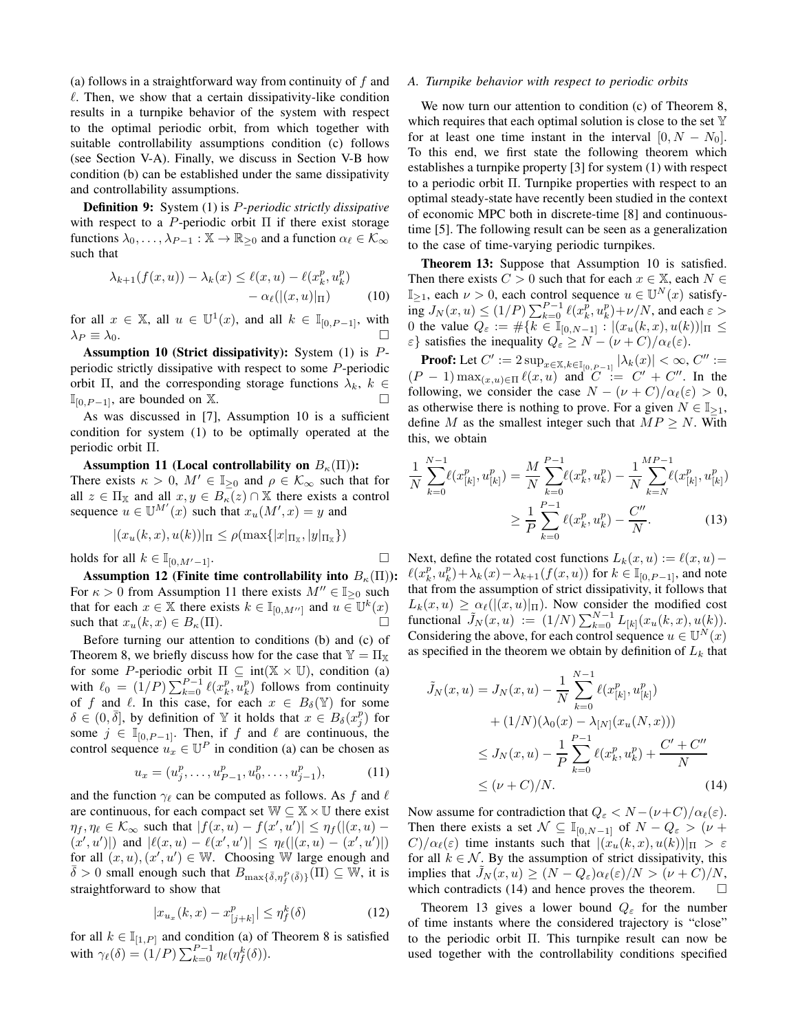(a) follows in a straightforward way from continuity of f and  $\ell$ . Then, we show that a certain dissipativity-like condition results in a turnpike behavior of the system with respect to the optimal periodic orbit, from which together with suitable controllability assumptions condition (c) follows (see Section V-A). Finally, we discuss in Section V-B how condition (b) can be established under the same dissipativity and controllability assumptions.

Definition 9: System (1) is P*-periodic strictly dissipative* with respect to a P-periodic orbit  $\Pi$  if there exist storage functions  $\lambda_0, \ldots, \lambda_{P-1} : \mathbb{X} \to \mathbb{R}_{\geq 0}$  and a function  $\alpha_\ell \in \mathcal{K}_\infty$ such that

$$
\lambda_{k+1}(f(x,u)) - \lambda_k(x) \le \ell(x,u) - \ell(x_k^p, u_k^p) -\alpha_\ell((x,u)|_{\Pi}) \tag{10}
$$

for all  $x \in \mathbb{X}$ , all  $u \in \mathbb{U}^1(x)$ , and all  $k \in \mathbb{I}_{[0, P-1]}$ , with  $\lambda_P \equiv \lambda_0$ .

Assumption 10 (Strict dissipativity): System (1) is Pperiodic strictly dissipative with respect to some P-periodic orbit Π, and the corresponding storage functions  $\lambda_k$ ,  $k \in$  $\mathbb{I}_{[0,P-1]}$ , are bounded on X.

As was discussed in [7], Assumption 10 is a sufficient condition for system (1) to be optimally operated at the periodic orbit Π.

Assumption 11 (Local controllability on  $B_{\kappa}(\Pi)$ ): There exists  $\kappa > 0$ ,  $M' \in \mathbb{I}_{\geq 0}$  and  $\rho \in \mathcal{K}_{\infty}$  such that for all  $z \in \Pi_{\mathbb{X}}$  and all  $x, y \in B_{\kappa}(z) \cap \mathbb{X}$  there exists a control sequence  $u \in \mathbb{U}^{M'}(x)$  such that  $x_u(M',x) = y$  and

$$
|(x_u(k, x), u(k))|_{\Pi} \le \rho(\max\{|x|_{\Pi_x}, |y|_{\Pi_x}\})
$$

holds for all  $k \in \mathbb{I}_{[0,M'-1]}$ .

Assumption 12 (Finite time controllability into  $B_{\kappa}(\Pi)$ ): For  $\kappa > 0$  from Assumption 11 there exists  $M'' \in \mathbb{I}_{\geq 0}$  such that for each  $x \in \mathbb{X}$  there exists  $k \in \mathbb{I}_{[0,M'']}$  and  $u \in \mathbb{U}^k(x)$ such that  $x_u(k, x) \in B_{\kappa}(\Pi)$ .

Before turning our attention to conditions (b) and (c) of Theorem 8, we briefly discuss how for the case that  $\mathbb{Y} = \Pi_{\mathbb{X}}$ for some P-periodic orbit  $\Pi \subseteq \text{int}(\mathbb{X} \times \mathbb{U})$ , condition (a) with  $\ell_0 = (1/P) \sum_{k=0}^{P-1} \ell(x_k^p, u_k^p)$  follows from continuity of f and  $\ell$ . In this case, for each  $x \in B_\delta(\mathbb{Y})$  for some  $\delta \in (0, \bar{\delta}],$  by definition of Y it holds that  $x \in B_{\delta}(x_j^p)$  for some  $j \in \mathbb{I}_{[0,P-1]}$ . Then, if f and  $\ell$  are continuous, the control sequence  $u_x \in \mathbb{U}^P$  in condition (a) can be chosen as

$$
u_x = (u_j^p, \dots, u_{P-1}^p, u_0^p, \dots, u_{j-1}^p), \tag{11}
$$

and the function  $\gamma_\ell$  can be computed as follows. As f and  $\ell$ are continuous, for each compact set  $\mathbb{W} \subseteq \mathbb{X} \times \mathbb{U}$  there exist  $\eta_f, \eta_\ell \in \mathcal{K}_{\infty}$  such that  $|f(x, u) - f(x', u')| \leq \eta_f(|(x, u) (x', u')$  and  $|\ell(x, u) - \ell(x', u')| \leq \eta_{\ell}(|(x, u) - (x', u')|)$ for all  $(x, u), (x', u') \in \mathbb{W}$ . Choosing W large enough and  $\bar{\delta} > 0$  small enough such that  $B_{\max{\{\bar{\delta}, \eta^P_f(\bar{\delta})\}}}(\Pi) \subseteq \overline{W}$ , it is straightforward to show that

$$
|x_{u_x}(k, x) - x_{[j+k]}^p| \le \eta_f^k(\delta)
$$
 (12)

for all  $k \in \mathbb{I}_{[1,P]}$  and condition (a) of Theorem 8 is satisfied with  $\gamma_{\ell}(\delta) = (1/P) \sum_{k=0}^{P-1} \eta_{\ell}(\eta_f^k(\delta)).$ 

#### *A. Turnpike behavior with respect to periodic orbits*

We now turn our attention to condition (c) of Theorem 8, which requires that each optimal solution is close to the set  $\mathbb {Y}$ for at least one time instant in the interval  $[0, N - N_0]$ . To this end, we first state the following theorem which establishes a turnpike property [3] for system (1) with respect to a periodic orbit Π. Turnpike properties with respect to an optimal steady-state have recently been studied in the context of economic MPC both in discrete-time [8] and continuoustime [5]. The following result can be seen as a generalization to the case of time-varying periodic turnpikes.

Theorem 13: Suppose that Assumption 10 is satisfied. Then there exists  $C > 0$  such that for each  $x \in \mathbb{X}$ , each  $N \in$  $\mathbb{I}_{\geq 1}$ , each  $\nu > 0$ , each control sequence  $u \in \mathbb{U}^N(x)$  satisfy- $\inf_{x \in \mathbb{R}} J_N(x, u) \le (1/P) \sum_{k=0}^{P-1} \ell(x_k^p, u_k^p) + \nu/N$ , and each  $\varepsilon >$ 0 the value  $Q_{\varepsilon} := \# \{ k \in \mathbb{I}_{[0,N-1]} : |(x_u(k, x), u(k))|_{\Pi} \leq$  $\{\varepsilon\}$  satisfies the inequality  $Q_{\varepsilon} \ge N - (\nu + C)/\alpha_{\ell}(\varepsilon)$ .

**Proof:** Let  $C' := 2 \sup_{x \in \mathbb{X}, k \in \mathbb{I}_{[0, P-1]}} |\lambda_k(x)| < \infty, C'' :=$  $(P-1) \max_{(x,u) \in \Pi} \ell(x,u)$  and  $C := C' + C''$ . In the following, we consider the case  $N - (\nu + C)/\alpha_{\ell}(\varepsilon) > 0$ , as otherwise there is nothing to prove. For a given  $N \in \mathbb{I}_{\geq 1}$ , define M as the smallest integer such that  $MP \geq N$ . With this, we obtain

$$
\frac{1}{N} \sum_{k=0}^{N-1} \ell(x_{[k]}^p, u_{[k]}^p) = \frac{M}{N} \sum_{k=0}^{P-1} \ell(x_k^p, u_k^p) - \frac{1}{N} \sum_{k=N}^{M} \ell(x_{[k]}^p, u_{[k]}^p)
$$
\n
$$
\geq \frac{1}{P} \sum_{k=0}^{P-1} \ell(x_k^p, u_k^p) - \frac{C''}{N}.
$$
\n(13)

Next, define the rotated cost functions  $L_k(x, u) := \ell(x, u) - \ell(x, u)$  $\ell(x_k^p, u_k^p) + \lambda_k(x) - \lambda_{k+1}(f(x, u))$  for  $k \in \mathbb{I}_{[0, P-1]}$ , and note that from the assumption of strict dissipativity, it follows that  $L_k(x, u) \geq \alpha_\ell(|(x, u)|_{\Pi})$ . Now consider the modified cost functional  $\tilde{J}_N(x, u) := (1/N) \sum_{k=0}^{N-1} L_{[k]}(x_u(k, x), u(k)).$ Considering the above, for each control sequence  $u \in \mathbb{U}^N(x)$ as specified in the theorem we obtain by definition of  $L_k$  that

$$
\tilde{J}_N(x, u) = J_N(x, u) - \frac{1}{N} \sum_{k=0}^{N-1} \ell(x_{[k]}^p, u_{[k]}^p)
$$
  
+  $(1/N)(\lambda_0(x) - \lambda_{[N]}(x_u(N, x)))$   
 $\leq J_N(x, u) - \frac{1}{P} \sum_{k=0}^{P-1} \ell(x_k^p, u_k^p) + \frac{C' + C''}{N}$   
 $\leq (\nu + C)/N.$  (14)

Now assume for contradiction that  $Q_{\varepsilon} < N - (\nu + C)/\alpha_{\ell}(\varepsilon)$ . Then there exists a set  $\mathcal{N} \subseteq \mathbb{I}_{[0,N-1]}$  of  $N - Q_{\varepsilon} > (\nu +$  $C/\alpha_{\ell}(\varepsilon)$  time instants such that  $|(x_u(k,x), u(k))|_{\Pi} > \varepsilon$ for all  $k \in \mathcal{N}$ . By the assumption of strict dissipativity, this implies that  $J_N(x, u) \ge (N - Q_\varepsilon) \alpha_\ell(\varepsilon) / N > (\nu + C) / N$ , which contradicts (14) and hence proves the theorem.  $\Box$ 

Theorem 13 gives a lower bound  $Q_{\varepsilon}$  for the number of time instants where the considered trajectory is "close" to the periodic orbit Π. This turnpike result can now be used together with the controllability conditions specified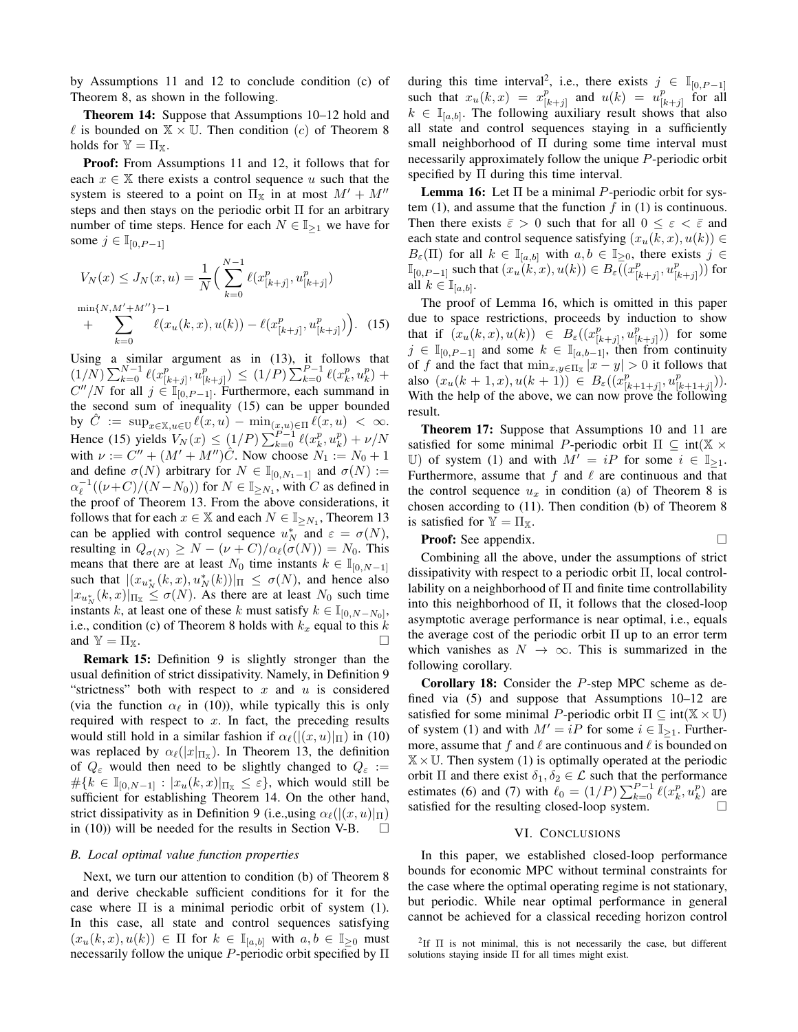by Assumptions 11 and 12 to conclude condition (c) of Theorem 8, as shown in the following.

Theorem 14: Suppose that Assumptions 10–12 hold and  $\ell$  is bounded on  $\mathbb{X} \times \mathbb{U}$ . Then condition (c) of Theorem 8 holds for  $\mathbb{Y} = \Pi_{\mathbb{X}}$ .

Proof: From Assumptions 11 and 12, it follows that for each  $x \in \mathbb{X}$  there exists a control sequence u such that the system is steered to a point on  $\Pi_{\mathbb{X}}$  in at most  $M' + M''$ steps and then stays on the periodic orbit Π for an arbitrary number of time steps. Hence for each  $N \in \mathbb{I}_{\geq 1}$  we have for some  $j \in \mathbb{I}_{[0, P-1]}$ 

$$
V_N(x) \le J_N(x, u) = \frac{1}{N} \Big( \sum_{k=0}^{N-1} \ell(x_{[k+j]}^p, u_{[k+j]}^p) + \sum_{k=0}^{\min\{N, M' + M''\}-1} \ell(x_u(k, x), u(k)) - \ell(x_{[k+j]}^p, u_{[k+j]}^p) \Big). \tag{15}
$$

Using a similar argument as in (13), it follows that  $(1/N)\sum_{k=0}^{N-1}\ell(x_{[k]}^p)$  $\sum_{[k+j]}^p, u^p_{[k]}$  $\binom{p}{[k+j]} \leq (1/P) \sum_{k=0}^{P-1} \ell(x_k^p, u_k^p) +$  $C''/N$  for all  $j \in \mathbb{I}_{[0, P-1]}$ . Furthermore, each summand in the second sum of inequality (15) can be upper bounded by  $\hat{C} := \sup_{x \in \mathbb{X}, u \in \mathbb{U}} \ell(x, u) - \min_{(x, u) \in \Pi} \ell(x, u) < \infty$ . Hence (15) yields  $V_N(x) \le (1/P) \sum_{k=0}^{P-1} \ell(x_k^p, u_k^p) + \nu/N$ with  $\nu := C'' + (M' + M'')\hat{C}$ . Now choose  $N_1 := N_0 + 1$ and define  $\sigma(N)$  arbitrary for  $N \in \mathbb{I}_{[0,N_1-1]}$  and  $\sigma(N) :=$  $\alpha_{\ell}^{-1}((\nu+C)/(N-N_0))$  for  $N \in \mathbb{I}_{\geq N_1}$ , with C as defined in the proof of Theorem 13. From the above considerations, it follows that for each  $x \in \mathbb{X}$  and each  $N \in \mathbb{I}_{\geq N_1}$ , Theorem 13 can be applied with control sequence  $u_N^*$  and  $\varepsilon = \sigma(N)$ , resulting in  $Q_{\sigma(N)} \ge N - (\nu + C)/\alpha_{\ell}(\sigma(N)) = N_0$ . This means that there are at least  $N_0$  time instants  $k \in \mathbb{I}_{[0,N-1]}$ such that  $|(x_{u_N^*}(k, x), u_N^*(k))|_{\Pi} \leq \sigma(N)$ , and hence also  $|x_{u_N^*}(k,x)|_{\Pi_{\mathbb{X}}} \leq \sigma(N)$ . As there are at least  $N_0$  such time instants k, at least one of these k must satisfy  $k \in \mathbb{I}_{[0,N-N_0]},$ i.e., condition (c) of Theorem 8 holds with  $k_x$  equal to this k and  $Y = \Pi_X$ .

Remark 15: Definition 9 is slightly stronger than the usual definition of strict dissipativity. Namely, in Definition 9 "strictness" both with respect to  $x$  and  $u$  is considered (via the function  $\alpha_{\ell}$  in (10)), while typically this is only required with respect to  $x$ . In fact, the preceding results would still hold in a similar fashion if  $\alpha_{\ell}(|(x,u)|_{\Pi})$  in (10) was replaced by  $\alpha_{\ell}(|x|_{\Pi_{\mathbb{X}}})$ . In Theorem 13, the definition of  $Q_{\varepsilon}$  would then need to be slightly changed to  $Q_{\varepsilon}$  :=  $\#\{k \in \mathbb{I}_{[0,N-1]} : |x_u(k,x)|_{\Pi_x} \leq \varepsilon\}$ , which would still be sufficient for establishing Theorem 14. On the other hand, strict dissipativity as in Definition 9 (i.e.,using  $\alpha_{\ell}(|(x,u)|_{\Pi})$ ) in (10)) will be needed for the results in Section V-B.  $\Box$ 

#### *B. Local optimal value function properties*

Next, we turn our attention to condition (b) of Theorem 8 and derive checkable sufficient conditions for it for the case where  $\Pi$  is a minimal periodic orbit of system (1). In this case, all state and control sequences satisfying  $(x_u(k, x), u(k)) \in \Pi$  for  $k \in \mathbb{I}_{[a, b]}$  with  $a, b \in \mathbb{I}_{\geq 0}$  must necessarily follow the unique P-periodic orbit specified by  $\Pi$ 

during this time interval<sup>2</sup>, i.e., there exists  $j \in \mathbb{I}_{[0,P-1]}$ such that  $x_u(k, x) = x_{[i]}^p$  $\begin{array}{lll} (k+1) & \text{and} & u(k) & = & u^p_{[k]} \\ \end{array}$  $\frac{p}{[k+j]}$  for all  $k \in \mathbb{I}_{[a,b]}$ . The following auxiliary result shows that also all state and control sequences staying in a sufficiently small neighborhood of Π during some time interval must necessarily approximately follow the unique P-periodic orbit specified by  $\Pi$  during this time interval.

**Lemma 16:** Let  $\Pi$  be a minimal *P*-periodic orbit for system  $(1)$ , and assume that the function  $f$  in  $(1)$  is continuous. Then there exists  $\bar{\varepsilon} > 0$  such that for all  $0 \leq \varepsilon < \bar{\varepsilon}$  and each state and control sequence satisfying  $(x_u(k, x), u(k)) \in$  $B_{\varepsilon}(\Pi)$  for all  $k \in \mathbb{I}_{[a,b]}$  with  $a, b \in \mathbb{I}_{\geq 0}$ , there exists  $j \in$  $\mathbb{I}_{[0, P-1]}$  such that  $(x_u(k, x), u(k)) \in B_{\varepsilon}(x_{[k, x)}^p)$  $\frac{p}{[k+j]}, u^p_{[k]}$  $_{[k+j]}^p))$  for all  $k \in \mathbb{I}_{[a,b]}$ .

The proof of Lemma 16, which is omitted in this paper due to space restrictions, proceeds by induction to show that if  $(x_u(k, x), u(k)) \in B_\varepsilon((x_{0}^p))$  $\frac{p}{[k+j]}, u^p_{[k]}$  $\binom{p}{[k+j]}$ ) for some  $j \in \mathbb{I}_{[0,P-1]}$  and some  $k \in \mathbb{I}_{[a,b-1]}$ , then from continuity of f and the fact that  $\min_{x,y\in\Pi_{\mathbb{X}}} |x-y| > 0$  it follows that also  $(x_u(k+1,x), u(k+1)) \in B_\varepsilon((x_{y}^p))$  $\frac{p}{[k+1+j]}, u^p_{[k]}$  $\frac{p}{[k+1+j]}$ )). With the help of the above, we can now prove the following result.

Theorem 17: Suppose that Assumptions 10 and 11 are satisfied for some minimal P-periodic orbit  $\Pi \subseteq \text{int}(\mathbb{X} \times$ U) of system (1) and with  $M' = iP$  for some  $i \in \mathbb{I}_{\geq 1}$ . Furthermore, assume that  $f$  and  $\ell$  are continuous and that the control sequence  $u_x$  in condition (a) of Theorem 8 is chosen according to (11). Then condition (b) of Theorem 8 is satisfied for  $\mathbb{Y} = \Pi_{\mathbb{X}}$ .

**Proof:** See appendix. 
$$
\Box
$$

Combining all the above, under the assumptions of strict dissipativity with respect to a periodic orbit Π, local controllability on a neighborhood of Π and finite time controllability into this neighborhood of  $\Pi$ , it follows that the closed-loop asymptotic average performance is near optimal, i.e., equals the average cost of the periodic orbit  $\Pi$  up to an error term which vanishes as  $N \to \infty$ . This is summarized in the following corollary.

Corollary 18: Consider the P-step MPC scheme as defined via (5) and suppose that Assumptions 10–12 are satisfied for some minimal P-periodic orbit  $\Pi \subseteq \text{int}(\mathbb{X} \times \mathbb{U})$ of system (1) and with  $M' = iP$  for some  $i \in \mathbb{I}_{\ge 1}$ . Furthermore, assume that f and  $\ell$  are continuous and  $\ell$  is bounded on  $X \times U$ . Then system (1) is optimally operated at the periodic orbit Π and there exist  $δ_1, δ_2 \in \mathcal{L}$  such that the performance estimates (6) and (7) with  $\ell_0 = (1/P) \sum_{k=0}^{P-1} \ell(x_k^p, u_k^p)$  are satisfied for the resulting closed-loop system.

#### VI. CONCLUSIONS

In this paper, we established closed-loop performance bounds for economic MPC without terminal constraints for the case where the optimal operating regime is not stationary, but periodic. While near optimal performance in general cannot be achieved for a classical receding horizon control

<sup>&</sup>lt;sup>2</sup>If  $\Pi$  is not minimal, this is not necessarily the case, but different solutions staying inside  $\Pi$  for all times might exist.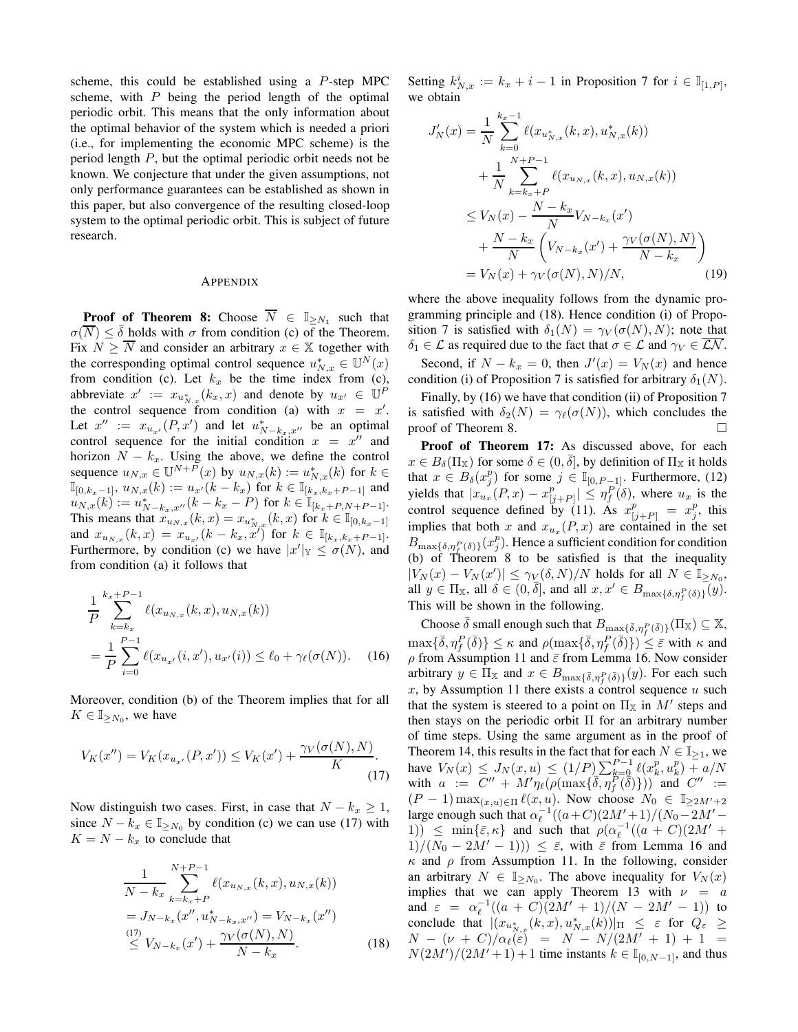scheme, this could be established using a P-step MPC scheme, with  $P$  being the period length of the optimal periodic orbit. This means that the only information about the optimal behavior of the system which is needed a priori (i.e., for implementing the economic MPC scheme) is the period length P, but the optimal periodic orbit needs not be known. We conjecture that under the given assumptions, not only performance guarantees can be established as shown in this paper, but also convergence of the resulting closed-loop system to the optimal periodic orbit. This is subject of future research.

## APPENDIX

**Proof of Theorem 8:** Choose  $\overline{N} \in \mathbb{I}_{\geq N_1}$  such that  $\sigma(\overline{N}) \leq \overline{\delta}$  holds with  $\sigma$  from condition (c) of the Theorem. Fix  $N \geq \overline{N}$  and consider an arbitrary  $x \in \mathbb{X}$  together with the corresponding optimal control sequence  $u_{N,x}^* \in \mathbb{U}^N(x)$ from condition (c). Let  $k_x$  be the time index from (c), abbreviate  $x' := x_{u_{N,x}^*}(k_x, x)$  and denote by  $u_{x'} \in \mathbb{U}^P$ the control sequence from condition (a) with  $x = x'$ . Let  $x'' := x_{u_{x'}}(P, x')$  and let  $u_{N-k_x,x''}^*$  be an optimal control sequence for the initial condition  $x = x''$  and horizon  $N - k_x$ . Using the above, we define the control sequence  $u_{N,x} \in \mathbb{U}^{N+P}(x)$  by  $u_{N,x}(k) := u_{N,x}^*(k)$  for  $k \in$  $\mathbb{I}_{[0,k_x-1]}, u_{N,x}(k) := u_{x'}(k-k_x)$  for  $k \in \mathbb{I}_{[k_x,k_x+P-1]}$  and  $u_{N,x}(k) := u_{N-k_x,x''}^*(k-k_x-P)$  for  $k \in \mathbb{I}_{[k_x+P,N+P-1]}$ . This means that  $x_{u_{N,x}}(k, x) = x_{u_{N,x}^*}(k, x)$  for  $k \in \mathbb{I}_{[0, k_x-1]}$ and  $x_{u_{N,x}}(k,x) = x_{u_{x'}}(k - k_x, x')$  for  $k \in \mathbb{I}_{[k_x, k_x + P-1]}$ . Furthermore, by condition (c) we have  $|x'|_Y \leq \sigma(N)$ , and from condition (a) it follows that

$$
\frac{1}{P} \sum_{k=k_x}^{k_x+P-1} \ell(x_{u_{N,x}}(k,x), u_{N,x}(k))
$$
\n
$$
= \frac{1}{P} \sum_{i=0}^{P-1} \ell(x_{u_{x'}}(i,x'), u_{x'}(i)) \le \ell_0 + \gamma_\ell(\sigma(N)). \tag{16}
$$

Moreover, condition (b) of the Theorem implies that for all  $K \in \mathbb{I}_{\geq N_0}$ , we have

$$
V_K(x'') = V_K(x_{u_{x'}}(P, x')) \le V_K(x') + \frac{\gamma_V(\sigma(N), N)}{K}.
$$
\n(17)

Now distinguish two cases. First, in case that  $N - k_x \geq 1$ , since  $N - k_x \in \mathbb{I}_{\geq N_0}$  by condition (c) we can use (17) with  $K = N - k_x$  to conclude that

$$
\frac{1}{N-k_x} \sum_{k=k_x+P}^{N+P-1} \ell(x_{u_{N,x}}(k,x), u_{N,x}(k))
$$
\n
$$
= J_{N-k_x}(x'', u_{N-k_x,x''}^*) = V_{N-k_x}(x'')
$$
\n
$$
\stackrel{(17)}{\leq} V_{N-k_x}(x') + \frac{\gamma_V(\sigma(N), N)}{N-k_x}.
$$
\n(18)

Setting  $k_{N,x}^i := k_x + i - 1$  in Proposition 7 for  $i \in \mathbb{I}_{[1,P]},$ we obtain

$$
J'_{N}(x) = \frac{1}{N} \sum_{k=0}^{k_{x}-1} \ell(x_{u_{N,x}^{*}}(k, x), u_{N,x}^{*}(k))
$$
  
+ 
$$
\frac{1}{N} \sum_{k=k_{x}+P}^{N+P-1} \ell(x_{u_{N,x}}(k, x), u_{N,x}(k))
$$
  

$$
\leq V_{N}(x) - \frac{N-k_{x}}{N} V_{N-k_{x}}(x')
$$
  
+ 
$$
\frac{N-k_{x}}{N} \left( V_{N-k_{x}}(x') + \frac{\gamma_{V}(\sigma(N), N)}{N-k_{x}} \right)
$$
  
= 
$$
V_{N}(x) + \gamma_{V}(\sigma(N), N)/N,
$$
 (19)

where the above inequality follows from the dynamic programming principle and (18). Hence condition (i) of Proposition 7 is satisfied with  $\delta_1(N) = \gamma_V(\sigma(N), N)$ ; note that  $\delta_1 \in \mathcal{L}$  as required due to the fact that  $\sigma \in \mathcal{L}$  and  $\gamma_V \in \overline{\mathcal{LN}}$ . Second, if  $N - k_x = 0$ , then  $J'(x) = V_N(x)$  and hence condition (i) of Proposition 7 is satisfied for arbitrary  $\delta_1(N)$ .

Finally, by (16) we have that condition (ii) of Proposition 7 is satisfied with  $\delta_2(N) = \gamma_\ell(\sigma(N))$ , which concludes the proof of Theorem 8.

Proof of Theorem 17: As discussed above, for each  $x \in B_\delta(\Pi_\mathbb{X})$  for some  $\delta \in (0, \overline{\delta}],$  by definition of  $\Pi_\mathbb{X}$  it holds that  $x \in B_\delta(x_j^p)$  for some  $j \in \mathbb{I}_{[0,P-1]}$ . Furthermore, (12) yields that  $|x_{u_x}(P, x) - x_{p}^p$  $\left| \begin{array}{c} p \\ j+P \end{array} \right| \leq \eta_f^P(\delta)$ , where  $u_x$  is the control sequence defined by (11). As  $x_{[j+P]}^p = x_j^p$ , this implies that both x and  $x_{u_x}(P, x)$  are contained in the set  $B_{\max{\{\delta,\eta_{f}^P(\delta)\}}}(x_j^p)$ . Hence a sufficient condition for condition (b) of Theorem 8 to be satisfied is that the inequality  $|V_N(x) - V_N(x')| \leq \gamma_V(\delta, N)/N$  holds for all  $N \in \mathbb{I}_{\geq N_0}$ , all  $y \in \Pi_{\mathbb{X}}$ , all  $\delta \in (0, \overline{\delta}],$  and all  $x, x' \in B_{\max{\delta, \eta_f^P(\delta) }}$  $(y)$ . This will be shown in the following.

Choose  $\bar{\delta}$  small enough such that  $B_{\max{\{\bar{\delta}, \eta_i^P(\bar{\delta})\}}}(\Pi_{\mathbb{X}}) \subseteq \mathbb{X}$ ,  $\max\{\bar{\delta},\eta^P_f(\bar{\delta})\}\leq \kappa$  and  $\rho(\max\{\bar{\delta},\eta^P_f(\bar{\delta})\})\leq \bar{\varepsilon}$  with  $\kappa$  and  $\rho$  from Assumption 11 and  $\bar{\varepsilon}$  from Lemma 16. Now consider arbitrary  $y \in \Pi_{\mathbb{X}}$  and  $x \in B_{\max\{\bar{\delta}, \eta_f^P(\bar{\delta})\}}(y)$ . For each such  $x$ , by Assumption 11 there exists a control sequence  $u$  such that the system is steered to a point on  $\Pi_{\mathbb{X}}$  in  $M'$  steps and then stays on the periodic orbit  $\Pi$  for an arbitrary number of time steps. Using the same argument as in the proof of Theorem 14, this results in the fact that for each  $N \in \mathbb{I}_{\geq 1}$ , we have  $V_N(x) \le J_N(x, u) \le (1/P) \sum_{k=0}^{P-1} \ell(x_k^p, u_k^p) + a/N$ with  $a := C'' + M'\eta_{\ell}(\rho(\max{\{\overline{\delta}, \eta_{f}^P(\delta)\}}))$  and  $C'' :=$  $(P-1) \max_{(x,u)\in\Pi} \ell(x,u)$ . Now choose  $N_0 \in \mathbb{I}_{\geq 2M'+2}$ large enough such that  $\alpha_{\ell}^{-1}((a+C)(2M'+1)/(N_0-2M'-$ 1))  $\leq$  min{ $\bar{\varepsilon}, \kappa$ } and such that  $\rho(\alpha_{\ell}^{-1}((a+C)(2M'+$  $1/(N_0 - 2M' - 1)) \leq \bar{\varepsilon}$ , with  $\bar{\varepsilon}$  from Lemma 16 and  $\kappa$  and  $\rho$  from Assumption 11. In the following, consider an arbitrary  $N \in \mathbb{I}_{\geq N_0}$ . The above inequality for  $V_N(x)$ implies that we can apply Theorem 13 with  $\nu = a$ and  $\varepsilon = \alpha_{\ell}^{-1}((a+C)(2M'+1)/(N-2M'-1))$  to conclude that  $|(x_{u_{N,x}^*(k,x),u_{N,x}^*(k))|_{\Pi} \leq \varepsilon$  for  $Q_{\varepsilon} \geq$  $N - (\nu + C)/\alpha_{\ell}(\varepsilon) = N - N/(2M' + 1) + 1 =$  $N(2M')/(2M'+1)+1$  time instants  $k \in \mathbb{I}_{[0,N-1]}$ , and thus